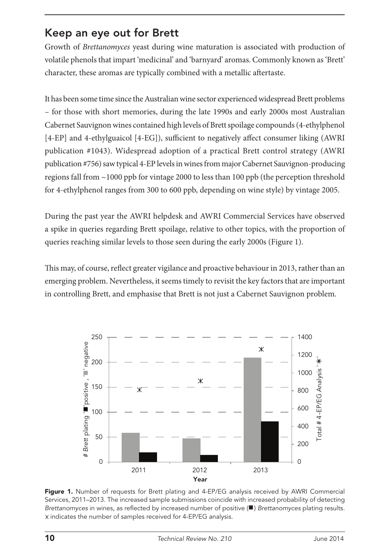# Keep an eye out for Brett

Growth of *Brettanomyces* yeast during wine maturation is associated with production of volatile phenols that impart 'medicinal' and 'barnyard' aromas. Commonly known as 'Brett' character, these aromas are typically combined with a metallic aftertaste.

It has been some time since the Australian wine sector experienced widespread Brett problems – for those with short memories, during the late 1990s and early 2000s most Australian Cabernet Sauvignon wines contained high levels of Brett spoilage compounds (4-ethylphenol [4-EP] and 4-ethylguaicol [4-EG]), sufficient to negatively affect consumer liking (AWRI publication #1043). Widespread adoption of a practical Brett control strategy (AWRI publication #756) saw typical 4-EP levels in wines from major Cabernet Sauvignon-producing regions fall from ~1000 ppb for vintage 2000 to less than 100 ppb (the perception threshold for 4-ethylphenol ranges from 300 to 600 ppb, depending on wine style) by vintage 2005.

During the past year the AWRI helpdesk and AWRI Commercial Services have observed a spike in queries regarding Brett spoilage, relative to other topics, with the proportion of queries reaching similar levels to those seen during the early 2000s (Figure 1).

This may, of course, reflect greater vigilance and proactive behaviour in 2013, rather than an emerging problem. Nevertheless, it seems timely to revisit the key factors that are important in controlling Brett, and emphasise that Brett is not just a Cabernet Sauvignon problem.



Figure 1. Number of requests for Brett plating and 4-EP/EG analysis received by AWRI Commercial Services, 2011–2013. The increased sample submissions coincide with increased probability of detecting *Brettanomyces* in wines, as reflected by increased number of positive (**■**) *Brettanomyces* plating results.  $X$  indicates the number of samples received for 4-EP/EG analysis.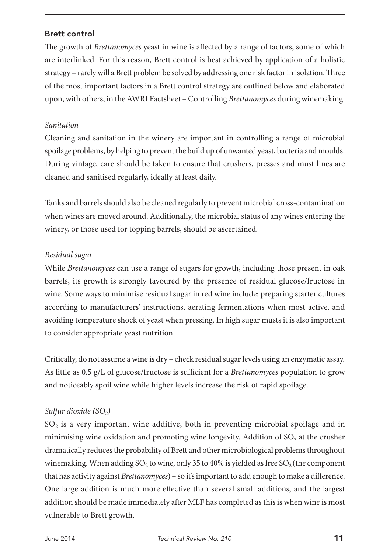### Brett control

The growth of *Brettanomyces* yeast in wine is affected by a range of factors, some of which are interlinked. For this reason, Brett control is best achieved by application of a holistic strategy – rarely will a Brett problem be solved by addressing one risk factor in isolation. Three of the most important factors in a Brett control strategy are outlined below and elaborated upon, with others, in the AWRI Factsheet – Controlling *Brettanomyces* during winemaking.

#### *Sanitation*

Cleaning and sanitation in the winery are important in controlling a range of microbial spoilage problems, by helping to prevent the build up of unwanted yeast, bacteria and moulds. During vintage, care should be taken to ensure that crushers, presses and must lines are cleaned and sanitised regularly, ideally at least daily.

Tanks and barrels should also be cleaned regularly to prevent microbial cross-contamination when wines are moved around. Additionally, the microbial status of any wines entering the winery, or those used for topping barrels, should be ascertained.

#### *Residual sugar*

While *Brettanomyces* can use a range of sugars for growth, including those present in oak barrels, its growth is strongly favoured by the presence of residual glucose/fructose in wine. Some ways to minimise residual sugar in red wine include: preparing starter cultures according to manufacturers' instructions, aerating fermentations when most active, and avoiding temperature shock of yeast when pressing. In high sugar musts it is also important to consider appropriate yeast nutrition.

Critically, do not assume a wine is dry – check residual sugar levels using an enzymatic assay. As little as 0.5 g/L of glucose/fructose is sufficient for a *Brettanomyces* population to grow and noticeably spoil wine while higher levels increase the risk of rapid spoilage.

## *Sulfur dioxide (SO<sub>2</sub>)*

 $SO<sub>2</sub>$  is a very important wine additive, both in preventing microbial spoilage and in minimising wine oxidation and promoting wine longevity. Addition of  $SO<sub>2</sub>$  at the crusher dramatically reduces the probability of Brett and other microbiological problems throughout winemaking. When adding SO<sub>2</sub> to wine, only 35 to 40% is yielded as free SO<sub>2</sub> (the component that has activity against *Brettanomyces*) – so it's important to add enough to make a difference. One large addition is much more effective than several small additions, and the largest addition should be made immediately after MLF has completed as this is when wine is most vulnerable to Brett growth.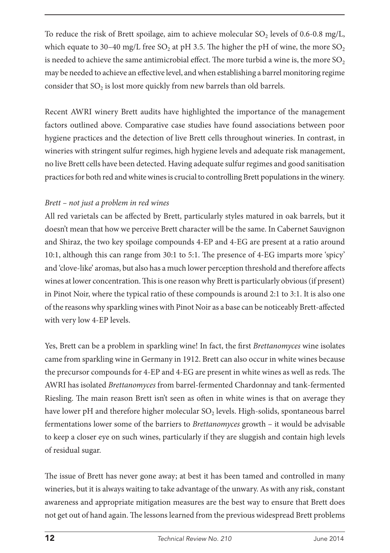To reduce the risk of Brett spoilage, aim to achieve molecular  $SO<sub>2</sub>$  levels of 0.6-0.8 mg/L, which equate to 30–40 mg/L free SO<sub>2</sub> at pH 3.5. The higher the pH of wine, the more SO<sub>2</sub> is needed to achieve the same antimicrobial effect. The more turbid a wine is, the more  $SO<sub>2</sub>$ may be needed to achieve an effective level, and when establishing a barrel monitoring regime consider that  $SO<sub>2</sub>$  is lost more quickly from new barrels than old barrels.

Recent AWRI winery Brett audits have highlighted the importance of the management factors outlined above. Comparative case studies have found associations between poor hygiene practices and the detection of live Brett cells throughout wineries. In contrast, in wineries with stringent sulfur regimes, high hygiene levels and adequate risk management, no live Brett cells have been detected. Having adequate sulfur regimes and good sanitisation practices for both red and white wines is crucial to controlling Brett populations in the winery.

#### *Brett – not just a problem in red wines*

All red varietals can be affected by Brett, particularly styles matured in oak barrels, but it doesn't mean that how we perceive Brett character will be the same. In Cabernet Sauvignon and Shiraz, the two key spoilage compounds 4-EP and 4-EG are present at a ratio around 10:1, although this can range from 30:1 to 5:1. The presence of 4-EG imparts more 'spicy' and 'clove-like' aromas, but also has a much lower perception threshold and therefore affects wines at lower concentration. This is one reason why Brett is particularly obvious (if present) in Pinot Noir, where the typical ratio of these compounds is around 2:1 to 3:1. It is also one of the reasons why sparkling wines with Pinot Noir as a base can be noticeably Brett-affected with very low 4-EP levels.

Yes, Brett can be a problem in sparkling wine! In fact, the first *Brettanomyces* wine isolates came from sparkling wine in Germany in 1912. Brett can also occur in white wines because the precursor compounds for 4-EP and 4-EG are present in white wines as well as reds. The AWRI has isolated *Brettanomyces* from barrel-fermented Chardonnay and tank-fermented Riesling. The main reason Brett isn't seen as often in white wines is that on average they have lower pH and therefore higher molecular SO<sub>2</sub> levels. High-solids, spontaneous barrel fermentations lower some of the barriers to *Brettanomyces* growth – it would be advisable to keep a closer eye on such wines, particularly if they are sluggish and contain high levels of residual sugar.

The issue of Brett has never gone away; at best it has been tamed and controlled in many wineries, but it is always waiting to take advantage of the unwary. As with any risk, constant awareness and appropriate mitigation measures are the best way to ensure that Brett does not get out of hand again. The lessons learned from the previous widespread Brett problems